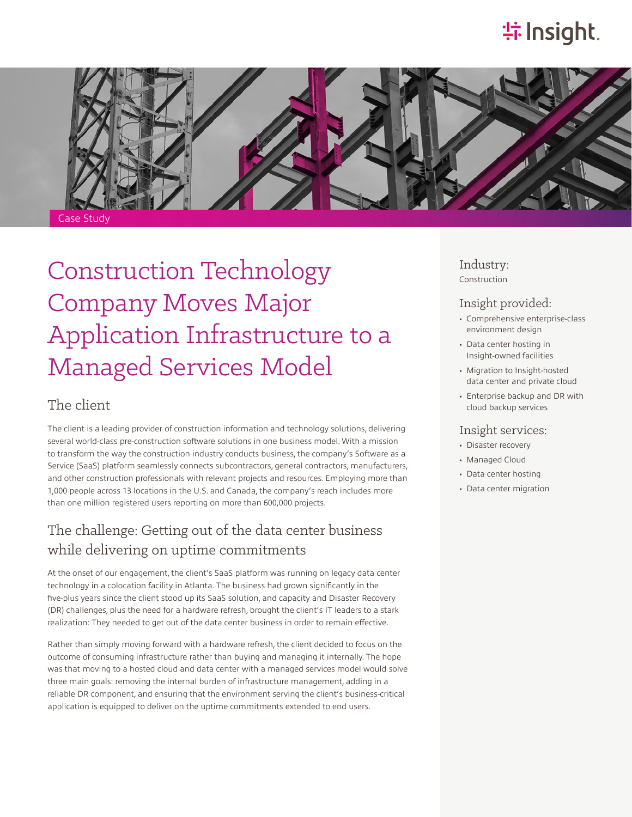# **特Insight**



# Construction Technology Company Moves Major Application Infrastructure to a Managed Services Model

## The client

The client is a leading provider of construction information and technology solutions, delivering several world-class pre-construction software solutions in one business model. With a mission to transform the way the construction industry conducts business, the company's Software as a Service (SaaS) platform seamlessly connects subcontractors, general contractors, manufacturers, and other construction professionals with relevant projects and resources. Employing more than 1,000 people across 13 locations in the U.S. and Canada, the company's reach includes more than one million registered users reporting on more than 600,000 projects.

## The challenge: Getting out of the data center business while delivering on uptime commitments

At the onset of our engagement, the client's SaaS platform was running on legacy data center technology in a colocation facility in Atlanta. The business had grown significantly in the five-plus years since the client stood up its SaaS solution, and capacity and Disaster Recovery (DR) challenges, plus the need for a hardware refresh, brought the client's IT leaders to a stark realization: They needed to get out of the data center business in order to remain effective.

Rather than simply moving forward with a hardware refresh, the client decided to focus on the outcome of consuming infrastructure rather than buying and managing it internally. The hope was that moving to a hosted cloud and data center with a managed services model would solve three main goals: removing the internal burden of infrastructure management, adding in a reliable DR component, and ensuring that the environment serving the client's business-critical application is equipped to deliver on the uptime commitments extended to end users.

Industry: Construction

#### Insight provided:

- Comprehensive enterprise-class environment design
- Data center hosting in Insight-owned facilities
- Migration to Insight-hosted data center and private cloud
- Enterprise backup and DR with cloud backup services

#### Insight services:

- Disaster recovery
- Managed Cloud
- Data center hosting
- Data center migration